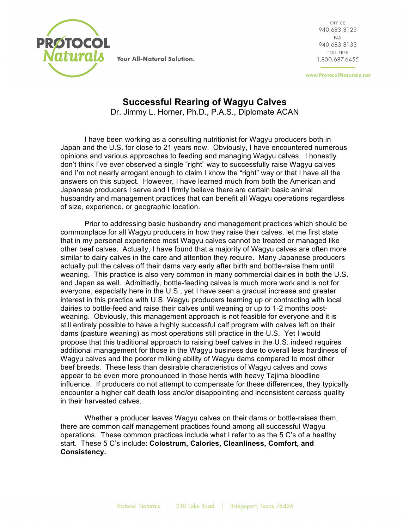

Your All-Natural Solution.

OFFICE 940.683.8123 FAX 940.683.8133 TOLL FREE 1.800.687.6455

www.ProtocolNaturals.net

## **Successful Rearing of Wagyu Calves** Dr. Jimmy L. Horner, Ph.D., P.A.S., Diplomate ACAN

I have been working as a consulting nutritionist for Wagyu producers both in Japan and the U.S. for close to 21 years now. Obviously, I have encountered numerous opinions and various approaches to feeding and managing Wagyu calves. I honestly don't think I've ever observed a single "right" way to successfully raise Wagyu calves and I'm not nearly arrogant enough to claim I know the "right" way or that I have all the answers on this subject. However, I have learned much from both the American and Japanese producers I serve and I firmly believe there are certain basic animal husbandry and management practices that can benefit all Wagyu operations regardless of size, experience, or geographic location.

Prior to addressing basic husbandry and management practices which should be commonplace for all Wagyu producers in how they raise their calves, let me first state that in my personal experience most Wagyu calves cannot be treated or managed like other beef calves. Actually, I have found that a majority of Wagyu calves are often more similar to dairy calves in the care and attention they require. Many Japanese producers actually pull the calves off their dams very early after birth and bottle-raise them until weaning. This practice is also very common in many commercial dairies in both the U.S. and Japan as well. Admittedly, bottle-feeding calves is much more work and is not for everyone, especially here in the U.S., yet I have seen a gradual increase and greater interest in this practice with U.S. Wagyu producers teaming up or contracting with local dairies to bottle-feed and raise their calves until weaning or up to 1-2 months postweaning. Obviously, this management approach is not feasible for everyone and it is still entirely possible to have a highly successful calf program with calves left on their dams (pasture weaning) as most operations still practice in the U.S. Yet I would propose that this traditional approach to raising beef calves in the U.S. indeed requires additional management for those in the Wagyu business due to overall less hardiness of Wagyu calves and the poorer milking ability of Wagyu dams compared to most other beef breeds. These less than desirable characteristics of Wagyu calves and cows appear to be even more pronounced in those herds with heavy Tajima bloodline influence. If producers do not attempt to compensate for these differences, they typically encounter a higher calf death loss and/or disappointing and inconsistent carcass quality in their harvested calves.

Whether a producer leaves Wagyu calves on their dams or bottle-raises them, there are common calf management practices found among all successful Wagyu operations. These common practices include what I refer to as the 5 C's of a healthy start. These 5 C's include: **Colostrum, Calories, Cleanliness, Comfort, and Consistency.**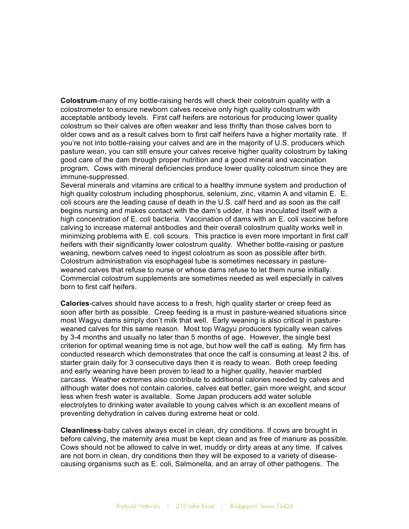**Colostrum**-many of my bottle-raising herds will check their colostrum quality with a colostrometer to ensure newborn calves receive only high quality colostrum with acceptable antibody levels. First calf heifers are notorious for producing lower quality colostrum so their calves are often weaker and less thrifty than those calves born to older cows and as a result calves born to first calf heifers have a higher mortality rate. If you're not into bottle-raising your calves and are in the majority of U.S. producers which pasture wean, you can still ensure your calves receive higher quality colostrum by taking good care of the dam through proper nutrition and a good mineral and vaccination program. Cows with mineral deficiencies produce lower quality colostrum since they are immune-suppressed.

Several minerals and vitamins are critical to a healthy immune system and production of high quality colostrum including phosphorus, selenium, zinc, vitamin A and vitamin E. E. coli scours are the leading cause of death in the U.S. calf herd and as soon as the calf begins nursing and makes contact with the dam's udder, it has inoculated itself with a high concentration of E. coli bacteria. Vaccination of dams with an E. coli vaccine before calving to increase maternal antibodies and their overall colostrum quality works well in minimizing problems with E. coli scours. This practice is even more important in first calf heifers with their significantly lower colostrum quality. Whether bottle-raising or pasture weaning, newborn calves need to ingest colostrum as soon as possible after birth. Colostrum administration via esophageal tube is sometimes necessary in pastureweaned calves that refuse to nurse or whose dams refuse to let them nurse initially. Commercial colostrum supplements are sometimes needed as well especially in calves born to first calf heifers.

**Calories**-calves should have access to a fresh, high quality starter or creep feed as soon after birth as possible. Creep feeding is a must in pasture-weaned situations since most Wagyu dams simply don't milk that well. Early weaning is also critical in pastureweaned calves for this same reason. Most top Wagyu producers typically wean calves by 3-4 months and usually no later than 5 months of age. However, the single best criterion for optimal weaning time is not age, but how well the calf is eating. My firm has conducted research which demonstrates that once the calf is consuming at least 2 lbs. of starter grain daily for 3 consecutive days then it is ready to wean. Both creep feeding and early weaning have been proven to lead to a higher quality, heavier marbled carcass. Weather extremes also contribute to additional calories needed by calves and although water does not contain calories, calves eat better, gain more weight, and scour less when fresh water is available. Some Japan producers add water soluble electrolytes to drinking water available to young calves which is an excellent means of preventing dehydration in calves during extreme heat or cold.

**Cleanliness**-baby calves always excel in clean, dry conditions. If cows are brought in before calving, the maternity area must be kept clean and as free of manure as possible. Cows should not be allowed to calve in wet, muddy or dirty areas at any time. If calves are not born in clean, dry conditions then they will be exposed to a variety of diseasecausing organisms such as E. coli, Salmonella, and an array of other pathogens. The